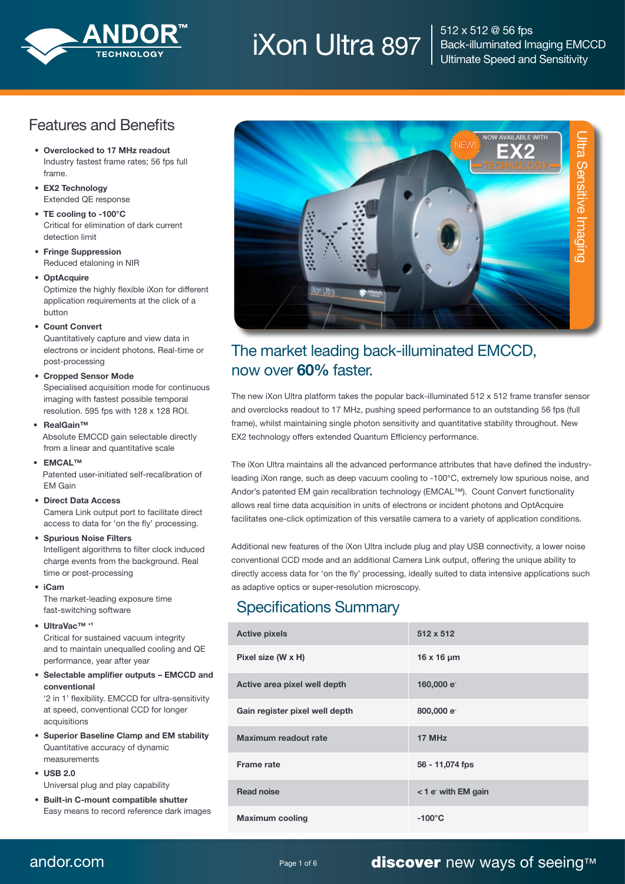

# $\rm{Non}$  Ultra 897  $\rm{S12 \times S12}$  @ 56 fps

Back-illuminated Imaging EMCCD Ultimate Speed and Sensitivity

## Features and Benefits

- • Overclocked to 17 MHz readout Industry fastest frame rates; 56 fps full frame.
- EX2 Technology Extended QE response
- TE cooling to -100°C Critical for elimination of dark current detection limit
- Fringe Suppression Reduced etaloning in NIR
- OptAcquire Optimize the highly flexible iXon for different application requirements at the click of a button
- • Count Convert

 Quantitatively capture and view data in electrons or incident photons. Real-time or post-processing

#### • Cropped Sensor Mode

 Specialised acquisition mode for continuous imaging with fastest possible temporal resolution. 595 fps with 128 x 128 ROI.

• RealGain™

 Absolute EMCCD gain selectable directly from a linear and quantitative scale

• **FMCAL™** 

 Patented user-initiated self-recalibration of EM Gain

 • Direct Data Access

 Camera Link output port to facilitate direct access to data for 'on the fly' processing.

 • Spurious Noise Filters

 Intelligent algorithms to filter clock induced charge events from the background. Real time or post-processing

 • iCam

 The market-leading exposure time fast-switching software

#### • UltraVac™ •1

 Critical for sustained vacuum integrity and to maintain unequalled cooling and QE performance, year after year

 • Selectable amplifier outputs – EMCCD and conventional

 '2 in 1' flexibility. EMCCD for ultra-sensitivity at speed, conventional CCD for longer acquisitions

- • Superior Baseline Clamp and EM stability Quantitative accuracy of dynamic measurements
- $\cdot$  USB 2.0 Universal plug and play capability
- • Built-in C-mount compatible shutter Easy means to record reference dark images



## The market leading back-illuminated EMCCD, now over 60% faster.

The new iXon Ultra platform takes the popular back-illuminated 512 x 512 frame transfer sensor and overclocks readout to 17 MHz, pushing speed performance to an outstanding 56 fps (full frame), whilst maintaining single photon sensitivity and quantitative stability throughout. New EX2 technology offers extended Quantum Efficiency performance.

The iXon Ultra maintains all the advanced performance attributes that have defined the industryleading iXon range, such as deep vacuum cooling to -100°C, extremely low spurious noise, and Andor's patented EM gain recalibration technology (EMCAL™). Count Convert functionality allows real time data acquisition in units of electrons or incident photons and OptAcquire facilitates one-click optimization of this versatile camera to a variety of application conditions.

Additional new features of the iXon Ultra include plug and play USB connectivity, a lower noise conventional CCD mode and an additional Camera Link output, offering the unique ability to directly access data for 'on the fly' processing, ideally suited to data intensive applications such as adaptive optics or super-resolution microscopy.

## Specifications Summary

| <b>Active pixels</b>           | 512 x 512              |
|--------------------------------|------------------------|
| Pixel size (W x H)             | $16 \times 16 \mu m$   |
| Active area pixel well depth   | 160,000 e <sup>-</sup> |
| Gain register pixel well depth | 800,000 e              |
| Maximum readout rate           | 17 MHz                 |
| <b>Frame rate</b>              | 56 - 11,074 fps        |
| <b>Read noise</b>              | <1 e with EM gain      |
| <b>Maximum cooling</b>         | $-100^{\circ}$ C       |

andor.com **Page 1 of 6** Page 1 of 6 **discover** new ways of seeing™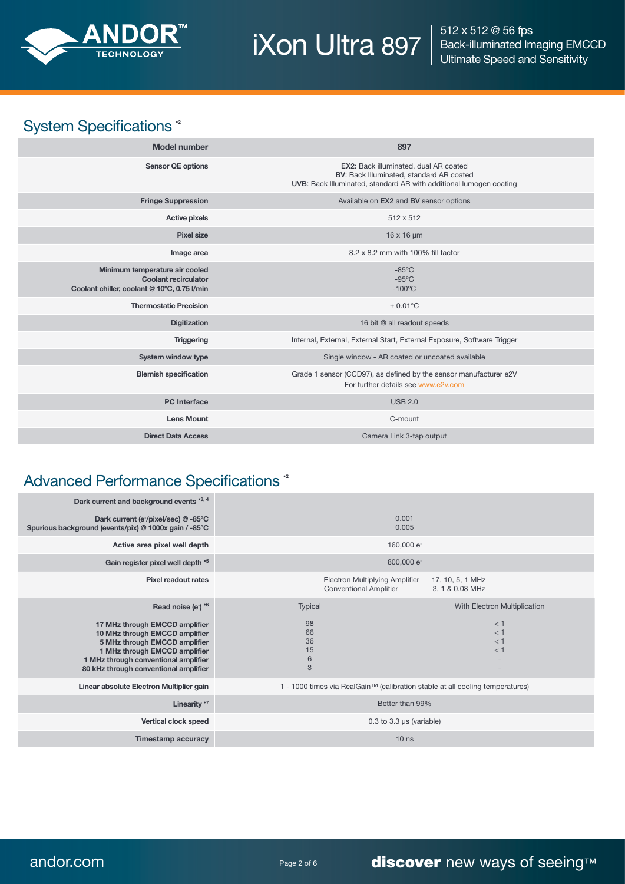

 $\overline{\mathsf{ax}}$  iXon Ultra 897

512 x 512 @ 56 fps Back-illuminated Imaging EMCCD Ultimate Speed and Sensitivity

# System Specifications<sup>\*</sup>

| <b>Model number</b>                                                                                          | 897                                                                                                                                                     |
|--------------------------------------------------------------------------------------------------------------|---------------------------------------------------------------------------------------------------------------------------------------------------------|
| <b>Sensor QE options</b>                                                                                     | EX2: Back illuminated, dual AR coated<br>BV: Back Illuminated, standard AR coated<br>UVB: Back Illuminated, standard AR with additional lumogen coating |
| <b>Fringe Suppression</b>                                                                                    | Available on EX2 and BV sensor options                                                                                                                  |
| <b>Active pixels</b>                                                                                         | 512 x 512                                                                                                                                               |
| <b>Pixel size</b>                                                                                            | $16 \times 16 \mu m$                                                                                                                                    |
| Image area                                                                                                   | 8.2 x 8.2 mm with 100% fill factor                                                                                                                      |
| Minimum temperature air cooled<br><b>Coolant recirculator</b><br>Coolant chiller, coolant @ 10°C, 0.75 l/min | $-85^{\circ}$ C<br>$-95^{\circ}$ C<br>$-100^{\circ}$ C                                                                                                  |
| <b>Thermostatic Precision</b>                                                                                | $\pm$ 0.01°C                                                                                                                                            |
| <b>Digitization</b>                                                                                          | 16 bit @ all readout speeds                                                                                                                             |
| <b>Triggering</b>                                                                                            | Internal, External, External Start, External Exposure, Software Trigger                                                                                 |
| System window type                                                                                           | Single window - AR coated or uncoated available                                                                                                         |
| <b>Blemish specification</b>                                                                                 | Grade 1 sensor (CCD97), as defined by the sensor manufacturer e2V<br>For further details see www.e2v.com                                                |
| <b>PC</b> Interface                                                                                          | <b>USB 2.0</b>                                                                                                                                          |
| <b>Lens Mount</b>                                                                                            | C-mount                                                                                                                                                 |
| <b>Direct Data Access</b>                                                                                    | Camera Link 3-tap output                                                                                                                                |

## Advanced Performance Specifications<sup>\*</sup>

| Dark current and background events '3, 4<br>Dark current (e <sup>-</sup> /pixel/sec) @ -85°C<br>Spurious background (events/pix) @ 1000x gain / -85°C<br>Active area pixel well depth<br>Gain register pixel well depth '5                                         |                                                                                                               | 0.001<br>0.005<br>160,000 e <sup>-</sup><br>800,000 e                         |  |
|--------------------------------------------------------------------------------------------------------------------------------------------------------------------------------------------------------------------------------------------------------------------|---------------------------------------------------------------------------------------------------------------|-------------------------------------------------------------------------------|--|
| <b>Pixel readout rates</b>                                                                                                                                                                                                                                         | <b>Electron Multiplying Amplifier</b><br>17, 10, 5, 1 MHz<br><b>Conventional Amplifier</b><br>3, 1 & 0.08 MHz |                                                                               |  |
| Read noise (e <sup>-</sup> ) * <sup>6</sup><br>17 MHz through EMCCD amplifier<br>10 MHz through EMCCD amplifier<br>5 MHz through EMCCD amplifier<br>1 MHz through EMCCD amplifier<br>1 MHz through conventional amplifier<br>80 kHz through conventional amplifier | Typical<br>98<br>66<br>36<br>15<br>6<br>3                                                                     | With Electron Multiplication<br>$<$ 1<br>$<$ 1<br>$<$ 1<br>$<$ 1              |  |
| Linear absolute Electron Multiplier gain                                                                                                                                                                                                                           |                                                                                                               | 1 - 1000 times via RealGain™ (calibration stable at all cooling temperatures) |  |
| Linearity *7                                                                                                                                                                                                                                                       | Better than 99%                                                                                               |                                                                               |  |
| Vertical clock speed                                                                                                                                                                                                                                               | $0.3$ to $3.3$ µs (variable)                                                                                  |                                                                               |  |
| <b>Timestamp accuracy</b>                                                                                                                                                                                                                                          | 10 <sub>ns</sub>                                                                                              |                                                                               |  |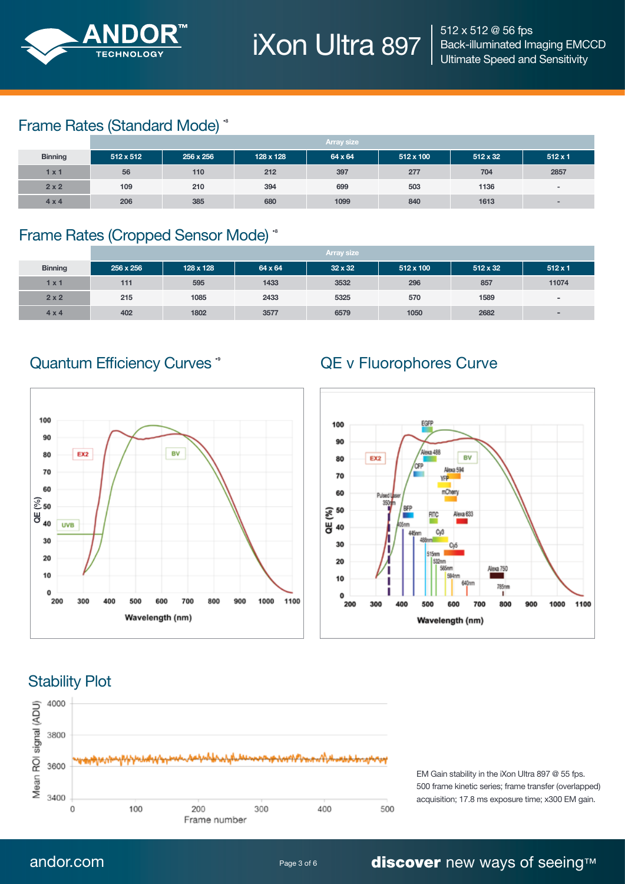

iXon Ultra 897 |

## Frame Rates (Standard Mode) \*

|                | <b>Array size</b> |           |           |         |           |                 |                          |
|----------------|-------------------|-----------|-----------|---------|-----------|-----------------|--------------------------|
| <b>Binning</b> | $512 \times 512$  | 256 x 256 | 128 x 128 | 64 x 64 | 512 x 100 | $512 \times 32$ | $512 \times 1$           |
| 1 x 1          | 56                | 110       | 212       | 397     | 277       | 704             | 2857                     |
| 2x2            | 109               | 210       | 394       | 699     | 503       | 1136            | $\overline{\phantom{a}}$ |
| $4 \times 4$   | 206               | 385       | 680       | 1099    | 840       | 1613            |                          |

## Frame Rates (Cropped Sensor Mode) \*

|                | <b>Array size</b> |           |         |                |                  |                 |                          |
|----------------|-------------------|-----------|---------|----------------|------------------|-----------------|--------------------------|
| <b>Binning</b> | 256 x 256         | 128 x 128 | 64 x 64 | $32 \times 32$ | $512 \times 100$ | $512 \times 32$ | $512 \times 1$           |
| 1 x 1          | 111               | 595       | 1433    | 3532           | 296              | 857             | 11074                    |
| 2x2            | 215               | 1085      | 2433    | 5325           | 570              | 1589            | $\blacksquare$           |
| $4 \times 4$   | 402               | 1802      | 3577    | 6579           | 1050             | 2682            | $\overline{\phantom{0}}$ |

## Quantum Efficiency Curves \* The Controllery Curves \* The QE v Fluorophores Curve





## Stability Plot



## andor.com **Page 3 of 6 discover** new ways of seeing™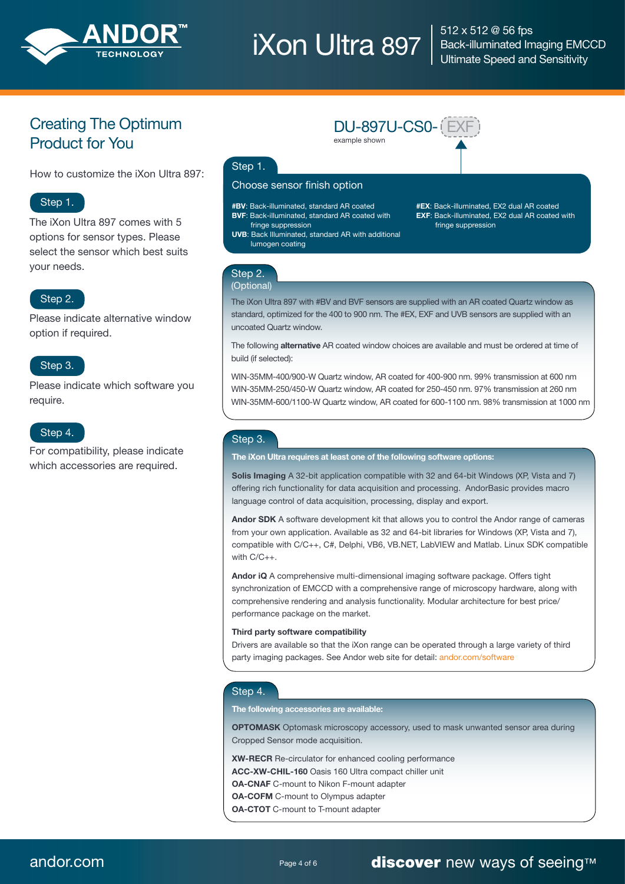

# $\rm{Non}$  Ultra 897  $\rm{S12 \times S12}$  @ 56 fps

example shown

Back-illuminated Imaging EMCCD Ultimate Speed and Sensitivity

## Creating The Optimum Product for You

How to customize the iXon Ultra 897:

## Step 1.

The iXon Ultra 897 comes with 5 options for sensor types. Please select the sensor which best suits your needs.

### Step 2.

Please indicate alternative window option if required.

#### Step 3.

Please indicate which software you require.

## Step 4.

For compatibility, please indicate which accessories are required.

### Step 1.

#### Choose sensor finish option

#BV: Back-illuminated, standard AR coated BVF: Back-illuminated, standard AR coated with fringe suppression

- UVB: Back Illuminated, standard AR with additional lumogen coating
- #EX: Back-illuminated, EX2 dual AR coated EXF: Back-illuminated, EX2 dual AR coated with fringe suppression

#### Step 2. (Optional)

The iXon Ultra 897 with #BV and BVF sensors are supplied with an AR coated Quartz window as standard, optimized for the 400 to 900 nm. The #EX, EXF and UVB sensors are supplied with an uncoated Quartz window.

DU-897U-CS0- EXF

The following **alternative** AR coated window choices are available and must be ordered at time of build (if selected):

WIN-35MM-400/900-W Quartz window, AR coated for 400-900 nm. 99% transmission at 600 nm WIN-35MM-250/450-W Quartz window, AR coated for 250-450 nm. 97% transmission at 260 nm WIN-35MM-600/1100-W Quartz window, AR coated for 600-1100 nm. 98% transmission at 1000 nm

#### Step 3.

The iXon Ultra requires at least one of the following software options:

Solis Imaging A 32-bit application compatible with 32 and 64-bit Windows (XP, Vista and 7) offering rich functionality for data acquisition and processing. AndorBasic provides macro language control of data acquisition, processing, display and export.

Andor SDK A software development kit that allows you to control the Andor range of cameras from your own application. Available as 32 and 64-bit libraries for Windows (XP, Vista and 7), compatible with C/C++, C#, Delphi, VB6, VB.NET, LabVIEW and Matlab. Linux SDK compatible with C/C++.

Andor iQ A comprehensive multi-dimensional imaging software package. Offers tight synchronization of EMCCD with a comprehensive range of microscopy hardware, along with comprehensive rendering and analysis functionality. Modular architecture for best price/ performance package on the market.

#### Third party software compatibility

Drivers are available so that the iXon range can be operated through a large variety of third party imaging packages. See Andor web site for detail: andor.com/software

#### Step 4.

#### The following accessories are available:

OPTOMASK Optomask microscopy accessory, used to mask unwanted sensor area during Cropped Sensor mode acquisition.

XW-RECR Re-circulator for enhanced cooling performance ACC-XW-CHIL-160 Oasis 160 Ultra compact chiller unit OA-CNAF C-mount to Nikon F-mount adapter

OA-COFM C-mount to Olympus adapter

OA-CTOT C-mount to T-mount adapter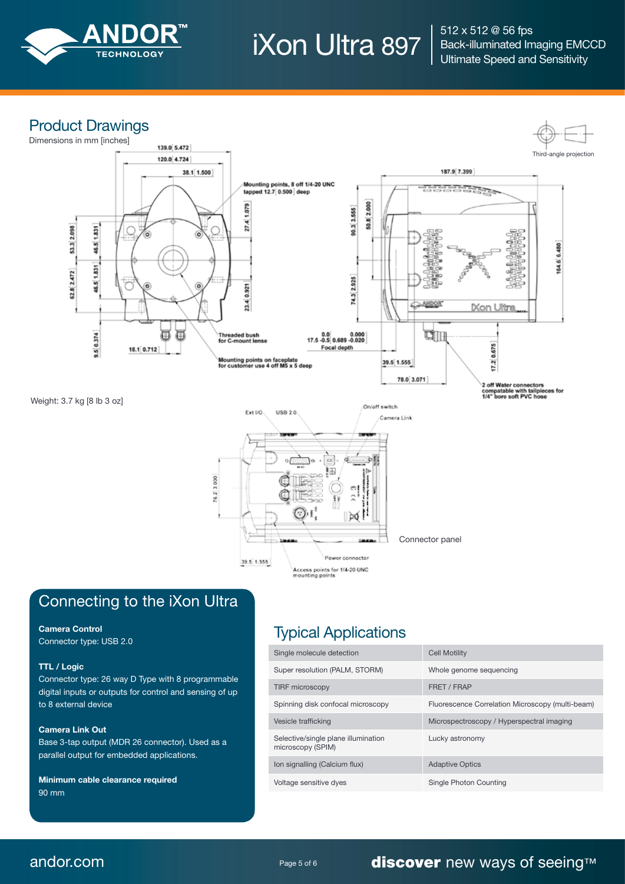

 $\rm{Non}$  Ultra 897  $\rm{S12 \times S12}$  @ 56 fps Back-illuminated Imaging EMCCD Ultimate Speed and Sensitivity

## Product Drawings



## Connecting to the iXon Ultra

#### Camera Control

Connector type: USB 2.0

#### TTL / Logic

Connector type: 26 way D Type with 8 programmable digital inputs or outputs for control and sensing of up to 8 external device

#### Camera Link Out

Base 3-tap output (MDR 26 connector). Used as a parallel output for embedded applications.

Minimum cable clearance required 90 mm

## Typical Applications

| Single molecule detection                                | <b>Cell Motility</b>                             |
|----------------------------------------------------------|--------------------------------------------------|
| Super resolution (PALM, STORM)                           | Whole genome sequencing                          |
| <b>TIRF microscopy</b>                                   | FRET / FRAP                                      |
| Spinning disk confocal microscopy                        | Fluorescence Correlation Microscopy (multi-beam) |
| Vesicle trafficking                                      | Microspectroscopy / Hyperspectral imaging        |
| Selective/single plane illumination<br>microscopy (SPIM) | Lucky astronomy                                  |
| Ion signalling (Calcium flux)                            | <b>Adaptive Optics</b>                           |
| Voltage sensitive dyes                                   | Single Photon Counting                           |

## andor.com **Page 5 of 6 discover** new ways of seeing™